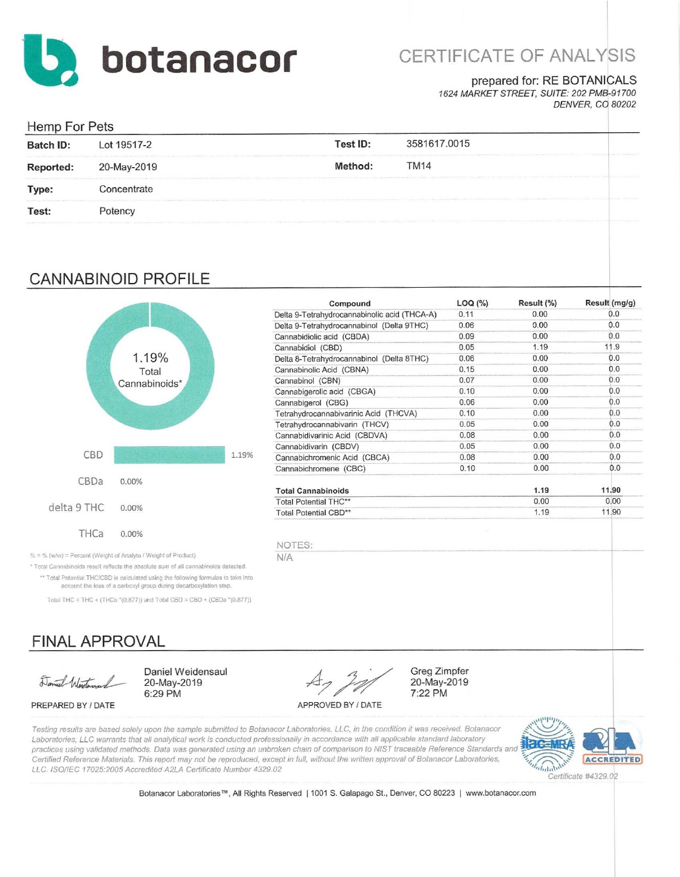

# CERTIFICATE OF ANALYSIS

#### prepared for: RE BOTANICALS

1624 MARKET STREET, SUITE: 202 PMB-91700 **DENVER, CO 80202** 

### Homn For Pote

| <b>Batch ID:</b> | Lot 19517-2                                                                                                                                                                                                                    | <b>Test ID:</b> | 3581617.0015<br>the set that was sent to be |  |
|------------------|--------------------------------------------------------------------------------------------------------------------------------------------------------------------------------------------------------------------------------|-----------------|---------------------------------------------|--|
| <b>Reported:</b> | 20-May-2019                                                                                                                                                                                                                    | Method:         | <b>TM14</b>                                 |  |
| Type:            | Concentrate                                                                                                                                                                                                                    |                 |                                             |  |
| Test:            | Potency                                                                                                                                                                                                                        |                 |                                             |  |
|                  | AMARINAMENTAL CONTRACTOR CONTRACTOR CONTRACTOR CONTRACTOR CONTRACTOR CONTRACTOR CONTRACTOR CONTRACTOR CONTRACTOR CONTRACTOR CONTRACTOR CONTRACTOR CONTRACTOR CONTRACTOR CONTRACTOR CONTRACTO CONTRACTO CONTRACTO CONTRACTO CON |                 |                                             |  |

### **CANNABINOID PROFILE**



| Compound                                     | LOG (%) | Result (%) | Result (mg/g) |
|----------------------------------------------|---------|------------|---------------|
| Delta 9-Tetrahydrocannabinolic acid (THCA-A) | 0.11    | 0.00       | 0.0           |
| Delta 9-Tetrahydrocannabinol (Delta 9THC)    | 0.06    | 0.00       | 0.0           |
| Cannabidiolic acid (CBDA)                    | 0.09    | 0.00       | 0.0           |
| Cannabidiol (CBD)                            | 0.05    | 1.19       | 11.9          |
| Delta 8-Tetrahydrocannabinol (Delta 8THC)    | 0.06    | 0.00       | 0.0           |
| Cannabinolic Acid (CBNA)                     | 0.15    | 0.00       | 0.0           |
| Cannabinol (CBN)                             | 0.07    | 0.00       | 0.0           |
| Cannabigerolic acid (CBGA)                   | 0.10    | 0.00       | 0.0           |
| Cannabigerol (CBG)                           | 0.06    | 0.00       | 0.0           |
| Tetrahydrocannabivarinic Acid (THCVA)        | 0.10    | 0.00       | 0.0           |
| Tetrahydrocannabivarin (THCV)                | 0.05    | 0.00       | 0.0           |
| Cannabidivarinic Acid (CBDVA)                | 0.08    | 0.00       | 0.0           |
| Cannabidivarin (CBDV)                        | 0.05    | 0.00       | 0.0           |
| Cannabichromenic Acid (CBCA)                 | 0.08    | 0.00       | 0.0           |
| Cannabichromene (CBC)                        | 0.10    | 0.00       | 0.0           |
| <b>Total Cannabinoids</b>                    |         | 1.19       | 11.90         |
| <b>Total Potential THC**</b>                 |         | 0.00       | 0.00          |
| Total Potential CBD**                        |         | 1.19       | 11.90         |

**Greg Zimpfer** 

20-May-2019

7:22 PM

% = % (w/w) = Percent (Weight of Analyte / Weight of Product)

\* Total Cannabinoids result reflects the absolute sum of all cannabinoids detected. \*\* Total Potential THC/CBD is calculated using the following formulas to take into account the loss of a carboxyl group during decarboxylation step.

Total THC = THC + (THCa  $*(0.877)$ ) and Total CBD = CBD + (CBDa  $*(0.877)$ )

## **FINAL APPROVAL**

Daniel Warting

PREPARED BY / DATE

Daniel Weidensaul 20-May-2019 6:29 PM

APPROVED BY / DATE

Testing results are based solely upon the sample submitted to Botanacor Laboratories, LLC, in the condition it was received. Botanacor Laboratories, LLC warrants that all analytical work is conducted professionally in accordance with all applicable standard laboratory practices using validated methods. Data was generated using an unbroken chain of comparison to NIST traceable Reference Standards and Certified Reference Materials. This report may not be reproduced, except in full, without the written approval of Botanacor Laboratories, LLC. ISO/IEC 17025:2005 Accredited A2LA Certificate Number 4329.02

 $N/A$ 



Certificate #4329.02

Botanacor Laboratories™, All Rights Reserved | 1001 S. Galapago St., Denver, CO 80223 | www.botanacor.com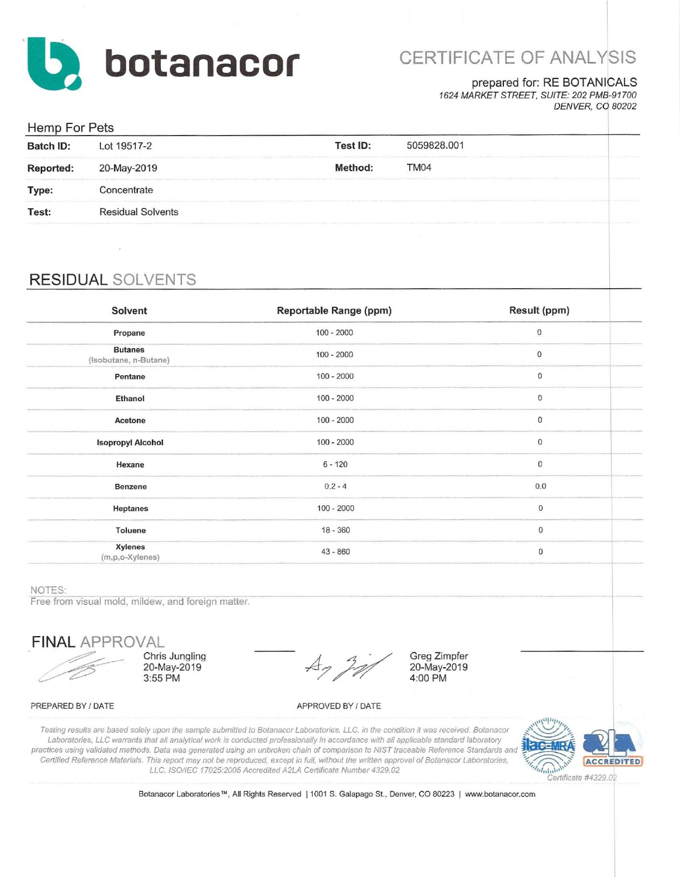

# CERTIFICATE OF ANALYSIS

#### prepared for: RE BOTANICALS

1624 MARKET STREET, SUITE: 202 PMB-91700 **DENVER, CO 80202** 

| Hemp For Pets    |                          |                                                                                                                                                                                                                               |                                                                                                                                                                                                                                                   |  |  |
|------------------|--------------------------|-------------------------------------------------------------------------------------------------------------------------------------------------------------------------------------------------------------------------------|---------------------------------------------------------------------------------------------------------------------------------------------------------------------------------------------------------------------------------------------------|--|--|
| <b>Batch ID:</b> | Lot 19517-2              | Test ID:                                                                                                                                                                                                                      | 5059828.001                                                                                                                                                                                                                                       |  |  |
| Reported:        | 20-May-2019              | A LOCATED AND LOCATED AT A RELEASED FOR THE CHARGE CONTRACT OF A RELEASED FOR THE CHARGE CONTRACTOR CONTRACTOR CONTRACTOR<br>Method:                                                                                          | TM <sub>04</sub><br>the particular in the constitution of contract of the contract of the constitution of the constitution of the contract of the constitution of the constitution of the constitution of the constitution of the constitution of |  |  |
| Type:            | Concentrate              |                                                                                                                                                                                                                               |                                                                                                                                                                                                                                                   |  |  |
| Test:            | <b>Residual Solvents</b> |                                                                                                                                                                                                                               |                                                                                                                                                                                                                                                   |  |  |
|                  |                          | Chapman in Company and Capacitan in a statement of the Company of the constitution of Law is Chapman and Capacita in St. Disability the Disability of the Chapman and Capacita in the Chapman and Capacita in the Chapman and |                                                                                                                                                                                                                                                   |  |  |

### **RESIDUAL SOLVENTS**

| Solvent                                 | Reportable Range (ppm) | Result (ppm) |
|-----------------------------------------|------------------------|--------------|
| Propane                                 | $100 - 2000$           | $\,0\,$      |
| <b>Butanes</b><br>(Isobutane, n-Butane) | $100 - 2000$           | $\mathbf 0$  |
| Pentane                                 | $100 - 2000$           | 0            |
| Ethanol                                 | $100 - 2000$           | 0            |
| Acetone                                 | $100 - 2000$           | $\mathbf 0$  |
| <b>Isopropyl Alcohol</b>                | $100 - 2000$           | $\mathbf 0$  |
| Hexane                                  | $6 - 120$              | $\mathbf{0}$ |
| Benzene                                 | $0.2 - 4$              | 0.0          |
| Heptanes                                | $100 - 2000$           | $\,0\,$      |
| Toluene                                 | $18 - 360$             | $\pmb{0}$    |
| <b>Xylenes</b><br>(m,p,o-Xylenes)       | $43 - 860$             | $\bf 0$      |
|                                         |                        |              |

NOTES:

Free from visual mold, mildew, and foreign matter.

**FINAL APPROVAL** 

Chris Jungling 20-May-2019 3:55 PM

Greg Zimpfer 20-May-2019 4:00 PM

#### PREPARED BY / DATE

APPROVED BY / DATE

Testing results are based solely upon the sample submitted to Botanacor Laboratories, LLC, in the condition it was received. Botanacor Laboratories, LLC warrants that all analytical work is conducted professionally in accordance with all applicable standard laboratory practices using validated methods. Data was generated using an unbroken chain of comparison to NIST traceable Reference Standards and Certified Reference Materials. This report may not be reproduced, except in full, without the written approval of Botanacor Laboratories, LLC. ISO/IEC 17025:2005 Accredited A2LA Certificate Number 4329.02



Botanacor Laboratories™, All Rights Reserved | 1001 S. Galapago St., Denver, CO 80223 | www.botanacor.com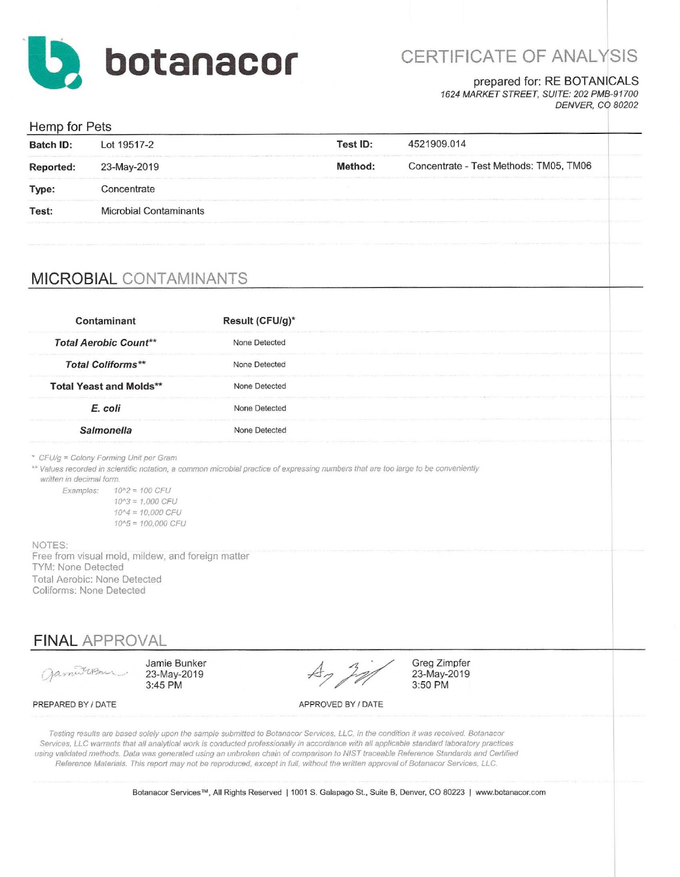

# CERTIFICATE OF ANALYSIS

### prepared for: RE BOTANICALS

1624 MARKET STREET, SUITE: 202 PMB-91700 **DENVER, CO 80202** 

| Hemp for Pets    |                               |          |                                                                                                                                                                                                                                                                          |  |
|------------------|-------------------------------|----------|--------------------------------------------------------------------------------------------------------------------------------------------------------------------------------------------------------------------------------------------------------------------------|--|
| <b>Batch ID:</b> | Lot 19517-2                   | Test ID: | 4521909.014                                                                                                                                                                                                                                                              |  |
| Reported:        | 23-May-2019                   | Method:  | Concentrate - Test Methods: TM05, TM06<br>Northwest Carm assumption of County Constants in the first of the county of the county of the county of the county of the county of the county of the county of the county of the county of the county of the county of the co |  |
| Type:            | Concentrate                   |          |                                                                                                                                                                                                                                                                          |  |
| Test:            | <b>Microbial Contaminants</b> |          |                                                                                                                                                                                                                                                                          |  |
|                  |                               |          |                                                                                                                                                                                                                                                                          |  |

## **MICROBIAL CONTAMINANTS**

| Contaminant                    | Result (CFU/g)* |  |
|--------------------------------|-----------------|--|
| <b>Total Aerobic Count**</b>   | None Detected   |  |
| <b>Total Coliforms**</b>       | None Detected   |  |
| <b>Total Yeast and Molds**</b> | None Detected   |  |
| E. coli                        | None Detected   |  |
|                                | None Detected   |  |

\* CFU/g = Colony Forming Unit per Gram

\*\* Values recorded in scientific notation, a common microbial practice of expressing numbers that are too large to be conveniently

written in decimal form.

Examples:  $10^2 = 100$  CFU  $10^{4}3 = 1.000$  CFU  $10^{4} = 10,000$  CFU  $10^{4}5 = 100,000$  CFU

NOTES: Free from visual mold, mildew, and foreign matter TYM: None Detected Total Aerobic: None Detected Coliforms: None Detected

**FINAL APPROVAL** 

James usu

Jamie Bunker 23-May-2019 3:45 PM

 $A_7$  20

APPROVED BY / DATE

Greg Zimpfer 23-May-2019 3:50 PM

PREPARED BY / DATE

Testing results are based solely upon the sample submitted to Botanacor Services, LLC, in the condition it was received. Botanacor Services, LLC warrants that all analytical work is conducted professionally in accordance with all applicable standard laboratory practices using validated methods. Data was generated using an unbroken chain of comparison to NIST traceable Reference Standards and Certified Reference Materials. This report may not be reproduced, except in full, without the written approval of Botanacor Services, LLC.

Botanacor Services™, All Rights Reserved | 1001 S. Galapago St., Suite B, Denver, CO 80223 | www.botanacor.com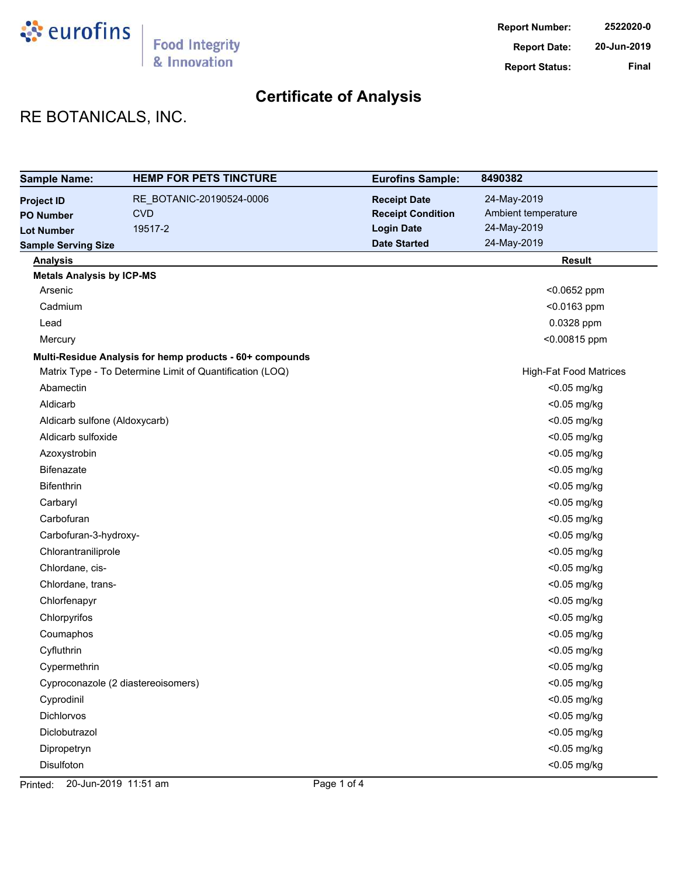

## RE BOTANICALS, INC.

| <b>Sample Name:</b>              | <b>HEMP FOR PETS TINCTURE</b>                            | <b>Eurofins Sample:</b>  | 8490382                       |
|----------------------------------|----------------------------------------------------------|--------------------------|-------------------------------|
| <b>Project ID</b>                | RE_BOTANIC-20190524-0006                                 | <b>Receipt Date</b>      | 24-May-2019                   |
| <b>PO Number</b>                 | <b>CVD</b>                                               | <b>Receipt Condition</b> | Ambient temperature           |
| <b>Lot Number</b>                | 19517-2                                                  | <b>Login Date</b>        | 24-May-2019                   |
| <b>Sample Serving Size</b>       |                                                          | <b>Date Started</b>      | 24-May-2019                   |
| <b>Analysis</b>                  |                                                          |                          | <b>Result</b>                 |
| <b>Metals Analysis by ICP-MS</b> |                                                          |                          |                               |
| Arsenic                          |                                                          |                          | <0.0652 ppm                   |
| Cadmium                          |                                                          |                          | <0.0163 ppm                   |
| Lead                             |                                                          |                          | 0.0328 ppm                    |
| Mercury                          |                                                          |                          | <0.00815 ppm                  |
|                                  | Multi-Residue Analysis for hemp products - 60+ compounds |                          |                               |
|                                  | Matrix Type - To Determine Limit of Quantification (LOQ) |                          | <b>High-Fat Food Matrices</b> |
| Abamectin                        |                                                          |                          | <0.05 mg/kg                   |
| Aldicarb                         |                                                          |                          | <0.05 mg/kg                   |
| Aldicarb sulfone (Aldoxycarb)    |                                                          |                          | <0.05 mg/kg                   |
| Aldicarb sulfoxide               |                                                          |                          | <0.05 mg/kg                   |
| Azoxystrobin                     |                                                          |                          | <0.05 mg/kg                   |
| <b>Bifenazate</b>                |                                                          |                          | <0.05 mg/kg                   |
| <b>Bifenthrin</b>                |                                                          |                          | <0.05 mg/kg                   |
| Carbaryl                         |                                                          |                          | <0.05 mg/kg                   |
| Carbofuran                       |                                                          |                          | <0.05 mg/kg                   |
| Carbofuran-3-hydroxy-            |                                                          |                          | <0.05 mg/kg                   |
| Chlorantraniliprole              |                                                          |                          | <0.05 mg/kg                   |
| Chlordane, cis-                  |                                                          |                          | <0.05 mg/kg                   |
| Chlordane, trans-                |                                                          |                          | <0.05 mg/kg                   |
| Chlorfenapyr                     |                                                          |                          | <0.05 mg/kg                   |
| Chlorpyrifos                     |                                                          |                          | <0.05 mg/kg                   |
| Coumaphos                        |                                                          |                          | <0.05 mg/kg                   |
| Cyfluthrin                       |                                                          |                          | <0.05 mg/kg                   |
| Cypermethrin                     |                                                          |                          | <0.05 mg/kg                   |
|                                  | Cyproconazole (2 diastereoisomers)                       |                          | <0.05 mg/kg                   |
| Cyprodinil                       |                                                          |                          | <0.05 mg/kg                   |
| <b>Dichlorvos</b>                |                                                          |                          | <0.05 mg/kg                   |
| Diclobutrazol                    |                                                          |                          | $<$ 0.05 mg/kg                |
| Dipropetryn                      |                                                          |                          | <0.05 mg/kg                   |
| Disulfoton                       |                                                          |                          | <0.05 mg/kg                   |

Printed: 20-Jun-2019 11:51 am Page 1 of 4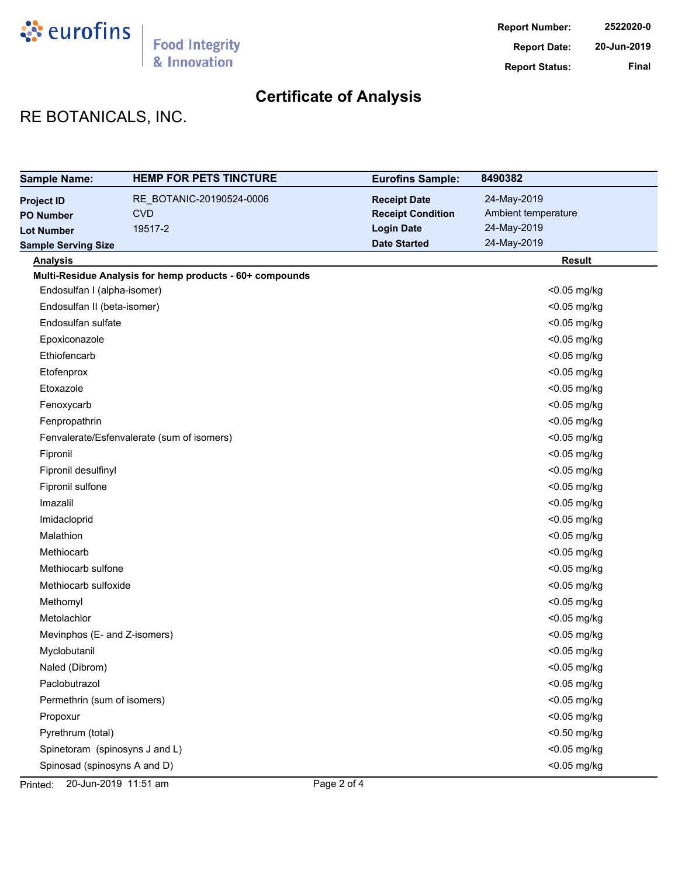

## RE BOTANICALS, INC.

| <b>Sample Name:</b>            | <b>HEMP FOR PETS TINCTURE</b>                            | <b>Eurofins Sample:</b>  | 8490382             |
|--------------------------------|----------------------------------------------------------|--------------------------|---------------------|
| <b>Project ID</b>              | RE_BOTANIC-20190524-0006                                 | <b>Receipt Date</b>      | 24-May-2019         |
| <b>PO Number</b>               | <b>CVD</b>                                               | <b>Receipt Condition</b> | Ambient temperature |
| <b>Lot Number</b>              | 19517-2                                                  | <b>Login Date</b>        | 24-May-2019         |
| <b>Sample Serving Size</b>     |                                                          | <b>Date Started</b>      | 24-May-2019         |
| <b>Analysis</b>                |                                                          |                          | <b>Result</b>       |
|                                | Multi-Residue Analysis for hemp products - 60+ compounds |                          |                     |
| Endosulfan I (alpha-isomer)    |                                                          |                          | <0.05 mg/kg         |
| Endosulfan II (beta-isomer)    |                                                          |                          | <0.05 mg/kg         |
| Endosulfan sulfate             |                                                          |                          | <0.05 mg/kg         |
| Epoxiconazole                  |                                                          |                          | <0.05 mg/kg         |
| Ethiofencarb                   |                                                          |                          | <0.05 mg/kg         |
| Etofenprox                     |                                                          |                          | <0.05 mg/kg         |
| Etoxazole                      |                                                          |                          | <0.05 mg/kg         |
| Fenoxycarb                     |                                                          |                          | <0.05 mg/kg         |
| Fenpropathrin                  |                                                          |                          | <0.05 mg/kg         |
|                                | Fenvalerate/Esfenvalerate (sum of isomers)               |                          | <0.05 mg/kg         |
| Fipronil                       |                                                          |                          | <0.05 mg/kg         |
| Fipronil desulfinyl            |                                                          |                          | <0.05 mg/kg         |
| Fipronil sulfone               |                                                          |                          | <0.05 mg/kg         |
| Imazalil                       |                                                          |                          | <0.05 mg/kg         |
| Imidacloprid                   |                                                          |                          | <0.05 mg/kg         |
| Malathion                      |                                                          |                          | <0.05 mg/kg         |
| Methiocarb                     |                                                          |                          | <0.05 mg/kg         |
| Methiocarb sulfone             |                                                          |                          | <0.05 mg/kg         |
| Methiocarb sulfoxide           |                                                          |                          | <0.05 mg/kg         |
| Methomyl                       |                                                          |                          | <0.05 mg/kg         |
| Metolachlor                    |                                                          |                          | <0.05 mg/kg         |
| Mevinphos (E- and Z-isomers)   |                                                          |                          | <0.05 mg/kg         |
| Myclobutanil                   |                                                          |                          | <0.05 mg/kg         |
| Naled (Dibrom)                 |                                                          |                          | <0.05 mg/kg         |
| Paclobutrazol                  |                                                          |                          | <0.05 mg/kg         |
| Permethrin (sum of isomers)    |                                                          |                          | <0.05 mg/kg         |
| Propoxur                       |                                                          |                          | <0.05 mg/kg         |
| Pyrethrum (total)              |                                                          |                          | <0.50 mg/kg         |
| Spinetoram (spinosyns J and L) |                                                          |                          | <0.05 mg/kg         |
| Spinosad (spinosyns A and D)   |                                                          |                          | <0.05 mg/kg         |

Printed: 20-Jun-2019 11:51 am Page 2 of 4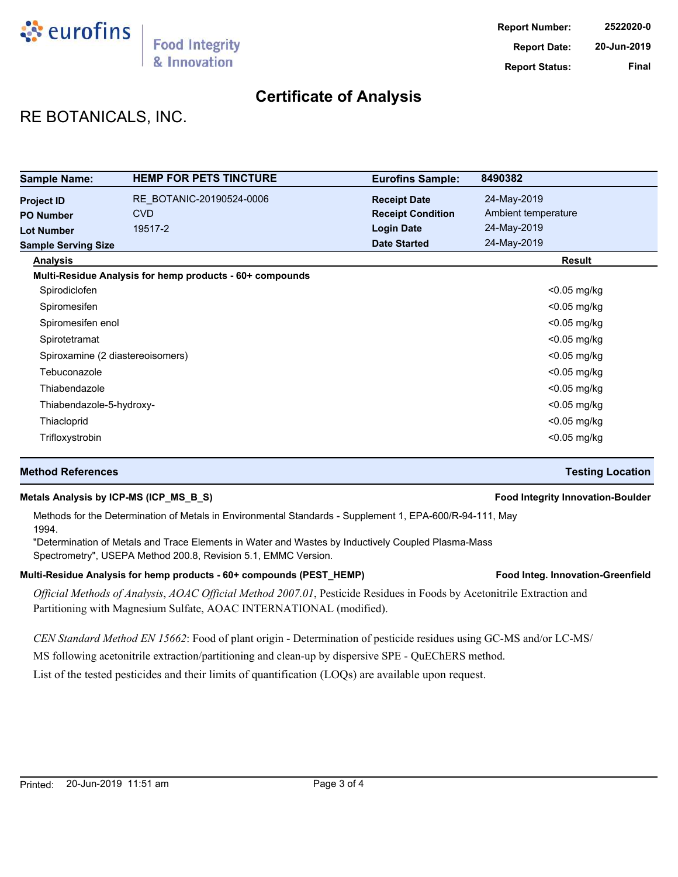

## RE BOTANICALS, INC.

| <b>Sample Name:</b>              | <b>HEMP FOR PETS TINCTURE</b>                            | <b>Eurofins Sample:</b>  | 8490382             |
|----------------------------------|----------------------------------------------------------|--------------------------|---------------------|
| <b>Project ID</b>                | RE BOTANIC-20190524-0006                                 | <b>Receipt Date</b>      | 24-May-2019         |
| <b>PO Number</b>                 | <b>CVD</b>                                               | <b>Receipt Condition</b> | Ambient temperature |
| <b>Lot Number</b>                | 19517-2                                                  | <b>Login Date</b>        | 24-May-2019         |
| <b>Sample Serving Size</b>       |                                                          | <b>Date Started</b>      | 24-May-2019         |
| <b>Analysis</b>                  |                                                          |                          | <b>Result</b>       |
|                                  | Multi-Residue Analysis for hemp products - 60+ compounds |                          |                     |
| Spirodiclofen                    |                                                          |                          | $<$ 0.05 mg/kg      |
| Spiromesifen                     |                                                          |                          | $<$ 0.05 mg/kg      |
| Spiromesifen enol                |                                                          |                          | $<$ 0.05 mg/kg      |
| Spirotetramat                    |                                                          |                          | $<$ 0.05 mg/kg      |
| Spiroxamine (2 diastereoisomers) |                                                          |                          | $<$ 0.05 mg/kg      |
| Tebuconazole                     |                                                          |                          | $<$ 0.05 mg/kg      |
| Thiabendazole                    |                                                          |                          | $<$ 0.05 mg/kg      |
| Thiabendazole-5-hydroxy-         |                                                          |                          | $<$ 0.05 mg/kg      |
| Thiacloprid                      |                                                          |                          | <0.05 mg/kg         |
| Trifloxystrobin                  |                                                          |                          | $<$ 0.05 mg/kg      |

### **Method References Testing Location**

### **Metals Analysis by ICP-MS (ICP\_MS\_B\_S) Food Integrity Innovation-Boulder**

Methods for the Determination of Metals in Environmental Standards - Supplement 1, EPA-600/R-94-111, May 1994.

"Determination of Metals and Trace Elements in Water and Wastes by Inductively Coupled Plasma-Mass Spectrometry", USEPA Method 200.8, Revision 5.1, EMMC Version.

#### Multi-Residue Analysis for hemp products - 60+ compounds (PEST\_HEMP) **Food Integ. Innovation-Greenfield**

*Official Methods of Analysis*, *AOAC Official Method 2007.01*, Pesticide Residues in Foods by Acetonitrile Extraction and Partitioning with Magnesium Sulfate, AOAC INTERNATIONAL (modified).

*CEN Standard Method EN 15662*: Food of plant origin - Determination of pesticide residues using GC-MS and/or LC-MS/

MS following acetonitrile extraction/partitioning and clean-up by dispersive SPE - QuEChERS method.

List of the tested pesticides and their limits of quantification (LOQs) are available upon request.